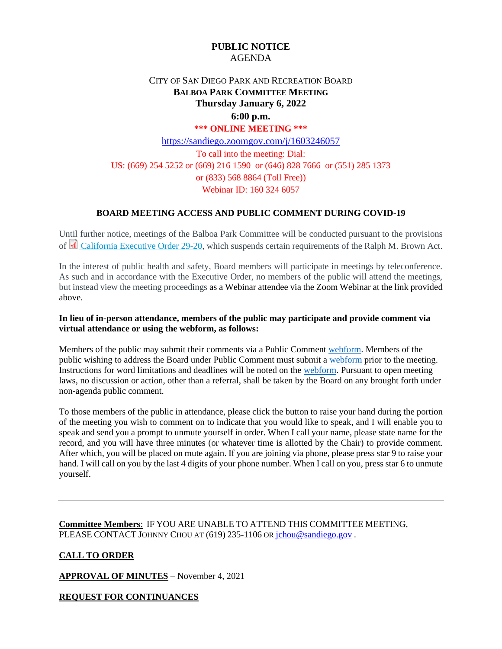# **PUBLIC NOTICE** AGENDA

# CITY OF SAN DIEGO PARK AND RECREATION BOARD **BALBOA PARK COMMITTEE MEETING Thursday January 6, 2022 6:00 p.m.**

#### **\*\*\* ONLINE MEETING \*\*\***

<https://sandiego.zoomgov.com/j/1603246057> To call into the meeting: Dial: US: (669) 254 5252 or (669) 216 1590 or (646) 828 7666 or (551) 285 1373 or (833) 568 8864 (Toll Free)) Webinar ID: 160 324 6057

## **BOARD MEETING ACCESS AND PUBLIC COMMENT DURING COVID-19**

Until further notice, meetings of the Balboa Park Committee will be conducted pursuant to the provisions of [California Executive Order 29-20,](http://www.gov.ca.gov/wp-content/uploads/2020/03/3.17.20-N-29-20-EO.pdf) which suspends certain requirements of the Ralph M. Brown Act.

In the interest of public health and safety, Board members will participate in meetings by teleconference. As such and in accordance with the Executive Order, no members of the public will attend the meetings, but instead view the meeting proceedings as a Webinar attendee via the Zoom Webinar at the link provided above.

#### **In lieu of in-person attendance, members of the public may participate and provide comment via virtual attendance or using the webform, as follows:**

Members of the public may submit their comments via a Public Comment [webform.](https://www.sandiego.gov/boards-and-commissions/public-comment) Members of the public wishing to address the Board under Public Comment must submit a [webform](https://www.sandiego.gov/boards-and-commissions/public-comment) prior to the meeting. Instructions for word limitations and deadlines will be noted on the [webform.](https://www.sandiego.gov/boards-and-commissions/public-comment) Pursuant to open meeting laws, no discussion or action, other than a referral, shall be taken by the Board on any brought forth under non-agenda public comment.

To those members of the public in attendance, please click the button to raise your hand during the portion of the meeting you wish to comment on to indicate that you would like to speak, and I will enable you to speak and send you a prompt to unmute yourself in order. When I call your name, please state name for the record, and you will have three minutes (or whatever time is allotted by the Chair) to provide comment. After which, you will be placed on mute again. If you are joining via phone, please press star 9 to raise your hand. I will call on you by the last 4 digits of your phone number. When I call on you, press star 6 to unmute yourself.

**Committee Members**: IF YOU ARE UNABLE TO ATTEND THIS COMMITTEE MEETING, PLEASE CONTACT JOHNNY CHOU AT (619) 235-1106 OR [jchou@sandiego.gov](mailto:jchou@sandiego.gov).

## **CALL TO ORDER**

**APPROVAL OF MINUTES** – November 4, 2021

**REQUEST FOR CONTINUANCES**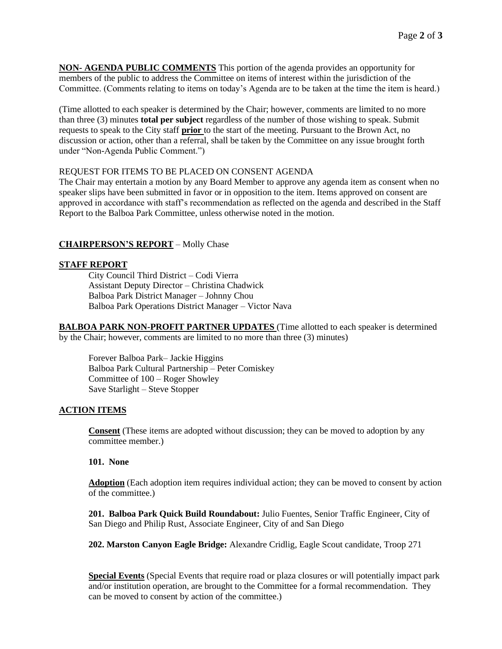**NON- AGENDA PUBLIC COMMENTS** This portion of the agenda provides an opportunity for members of the public to address the Committee on items of interest within the jurisdiction of the Committee. (Comments relating to items on today's Agenda are to be taken at the time the item is heard.)

(Time allotted to each speaker is determined by the Chair; however, comments are limited to no more than three (3) minutes **total per subject** regardless of the number of those wishing to speak. Submit requests to speak to the City staff **prior** to the start of the meeting. Pursuant to the Brown Act, no discussion or action, other than a referral, shall be taken by the Committee on any issue brought forth under "Non-Agenda Public Comment.")

#### REQUEST FOR ITEMS TO BE PLACED ON CONSENT AGENDA

The Chair may entertain a motion by any Board Member to approve any agenda item as consent when no speaker slips have been submitted in favor or in opposition to the item. Items approved on consent are approved in accordance with staff's recommendation as reflected on the agenda and described in the Staff Report to the Balboa Park Committee, unless otherwise noted in the motion.

## **CHAIRPERSON'S REPORT** – Molly Chase

#### **STAFF REPORT**

City Council Third District – Codi Vierra Assistant Deputy Director – Christina Chadwick Balboa Park District Manager – Johnny Chou Balboa Park Operations District Manager – Victor Nava

**BALBOA PARK NON-PROFIT PARTNER UPDATES** (Time allotted to each speaker is determined by the Chair; however, comments are limited to no more than three (3) minutes)

Forever Balboa Park– Jackie Higgins Balboa Park Cultural Partnership – Peter Comiskey Committee of 100 – Roger Showley Save Starlight – Steve Stopper

#### **ACTION ITEMS**

**Consent** (These items are adopted without discussion; they can be moved to adoption by any committee member.)

#### **101. None**

**Adoption** (Each adoption item requires individual action; they can be moved to consent by action of the committee.)

**201. Balboa Park Quick Build Roundabout:** Julio Fuentes, Senior Traffic Engineer, City of San Diego and Philip Rust, Associate Engineer, City of and San Diego

**202. Marston Canyon Eagle Bridge:** Alexandre Cridlig, Eagle Scout candidate, Troop 271

**Special Events** (Special Events that require road or plaza closures or will potentially impact park and/or institution operation, are brought to the Committee for a formal recommendation. They can be moved to consent by action of the committee.)